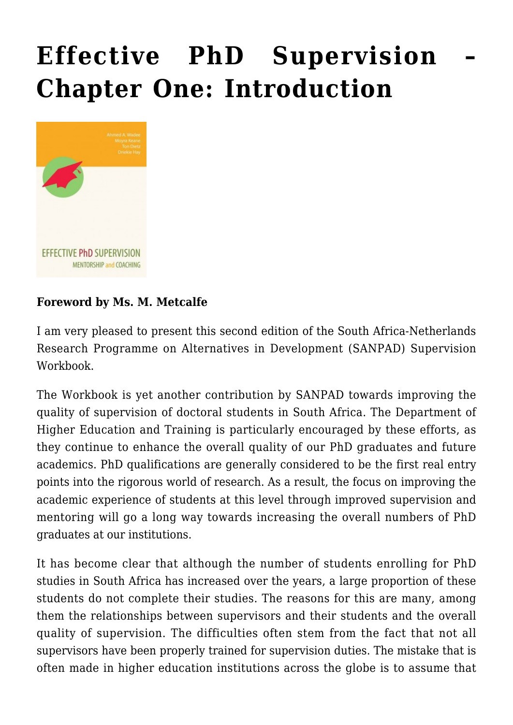# **[Effective PhD Supervision –](https://rozenbergquarterly.com/effective-phd-supervision-mentorship-and-coaching/) [Chapter One: Introduction](https://rozenbergquarterly.com/effective-phd-supervision-mentorship-and-coaching/)**



#### **Foreword by Ms. M. Metcalfe**

I am very pleased to present this second edition of the South Africa-Netherlands Research Programme on Alternatives in Development (SANPAD) Supervision Workbook.

The Workbook is yet another contribution by SANPAD towards improving the quality of supervision of doctoral students in South Africa. The Department of Higher Education and Training is particularly encouraged by these efforts, as they continue to enhance the overall quality of our PhD graduates and future academics. PhD qualifications are generally considered to be the first real entry points into the rigorous world of research. As a result, the focus on improving the academic experience of students at this level through improved supervision and mentoring will go a long way towards increasing the overall numbers of PhD graduates at our institutions.

It has become clear that although the number of students enrolling for PhD studies in South Africa has increased over the years, a large proportion of these students do not complete their studies. The reasons for this are many, among them the relationships between supervisors and their students and the overall quality of supervision. The difficulties often stem from the fact that not all supervisors have been properly trained for supervision duties. The mistake that is often made in higher education institutions across the globe is to assume that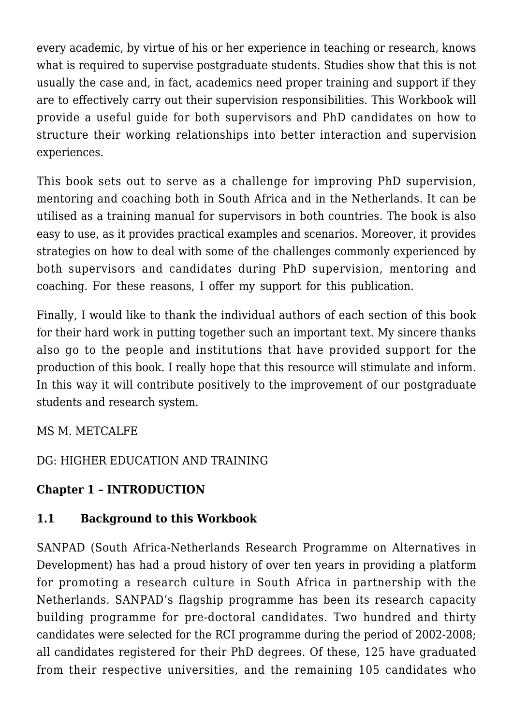every academic, by virtue of his or her experience in teaching or research, knows what is required to supervise postgraduate students. Studies show that this is not usually the case and, in fact, academics need proper training and support if they are to effectively carry out their supervision responsibilities. This Workbook will provide a useful guide for both supervisors and PhD candidates on how to structure their working relationships into better interaction and supervision experiences.

This book sets out to serve as a challenge for improving PhD supervision, mentoring and coaching both in South Africa and in the Netherlands. It can be utilised as a training manual for supervisors in both countries. The book is also easy to use, as it provides practical examples and scenarios. Moreover, it provides strategies on how to deal with some of the challenges commonly experienced by both supervisors and candidates during PhD supervision, mentoring and coaching. For these reasons, I offer my support for this publication.

Finally, I would like to thank the individual authors of each section of this book for their hard work in putting together such an important text. My sincere thanks also go to the people and institutions that have provided support for the production of this book. I really hope that this resource will stimulate and inform. In this way it will contribute positively to the improvement of our postgraduate students and research system.

MS M. METCALFE

DG: HIGHER EDUCATION AND TRAINING

# **Chapter 1 – INTRODUCTION**

## **1.1 Background to this Workbook**

SANPAD (South Africa-Netherlands Research Programme on Alternatives in Development) has had a proud history of over ten years in providing a platform for promoting a research culture in South Africa in partnership with the Netherlands. SANPAD's flagship programme has been its research capacity building programme for pre-doctoral candidates. Two hundred and thirty candidates were selected for the RCI programme during the period of 2002-2008; all candidates registered for their PhD degrees. Of these, 125 have graduated from their respective universities, and the remaining 105 candidates who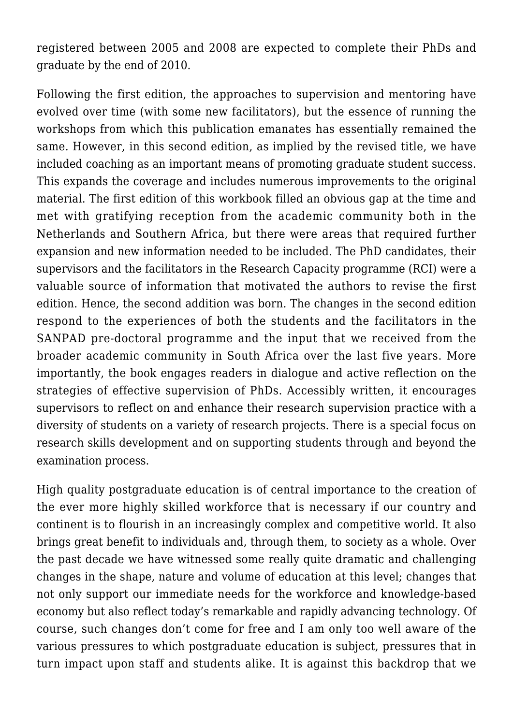registered between 2005 and 2008 are expected to complete their PhDs and graduate by the end of 2010.

Following the first edition, the approaches to supervision and mentoring have evolved over time (with some new facilitators), but the essence of running the workshops from which this publication emanates has essentially remained the same. However, in this second edition, as implied by the revised title, we have included coaching as an important means of promoting graduate student success. This expands the coverage and includes numerous improvements to the original material. The first edition of this workbook filled an obvious gap at the time and met with gratifying reception from the academic community both in the Netherlands and Southern Africa, but there were areas that required further expansion and new information needed to be included. The PhD candidates, their supervisors and the facilitators in the Research Capacity programme (RCI) were a valuable source of information that motivated the authors to revise the first edition. Hence, the second addition was born. The changes in the second edition respond to the experiences of both the students and the facilitators in the SANPAD pre-doctoral programme and the input that we received from the broader academic community in South Africa over the last five years. More importantly, the book engages readers in dialogue and active reflection on the strategies of effective supervision of PhDs. Accessibly written, it encourages supervisors to reflect on and enhance their research supervision practice with a diversity of students on a variety of research projects. There is a special focus on research skills development and on supporting students through and beyond the examination process.

High quality postgraduate education is of central importance to the creation of the ever more highly skilled workforce that is necessary if our country and continent is to flourish in an increasingly complex and competitive world. It also brings great benefit to individuals and, through them, to society as a whole. Over the past decade we have witnessed some really quite dramatic and challenging changes in the shape, nature and volume of education at this level; changes that not only support our immediate needs for the workforce and knowledge-based economy but also reflect today's remarkable and rapidly advancing technology. Of course, such changes don't come for free and I am only too well aware of the various pressures to which postgraduate education is subject, pressures that in turn impact upon staff and students alike. It is against this backdrop that we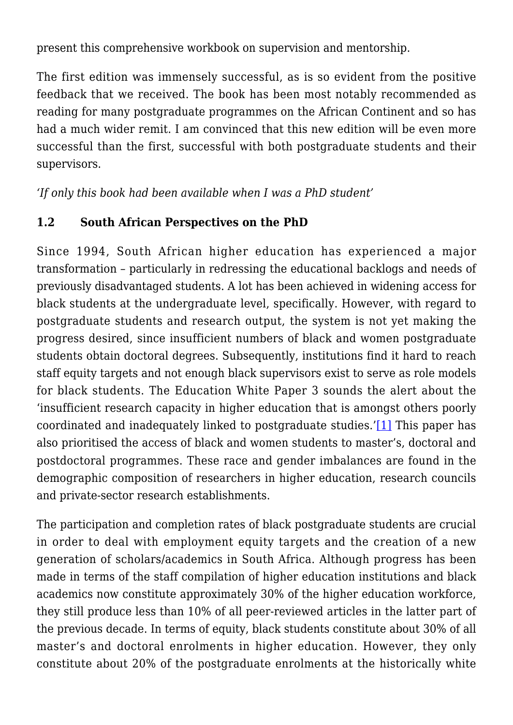present this comprehensive workbook on supervision and mentorship.

The first edition was immensely successful, as is so evident from the positive feedback that we received. The book has been most notably recommended as reading for many postgraduate programmes on the African Continent and so has had a much wider remit. I am convinced that this new edition will be even more successful than the first, successful with both postgraduate students and their supervisors.

*'If only this book had been available when I was a PhD student'*

#### **1.2 South African Perspectives on the PhD**

Since 1994, South African higher education has experienced a major transformation – particularly in redressing the educational backlogs and needs of previously disadvantaged students. A lot has been achieved in widening access for black students at the undergraduate level, specifically. However, with regard to postgraduate students and research output, the system is not yet making the progress desired, since insufficient numbers of black and women postgraduate students obtain doctoral degrees. Subsequently, institutions find it hard to reach staff equity targets and not enough black supervisors exist to serve as role models for black students. The Education White Paper 3 sounds the alert about the 'insufficient research capacity in higher education that is amongst others poorly coordinated and inadequately linked to postgraduate studies.'[\[1\]](#page--1-0) This paper has also prioritised the access of black and women students to master's, doctoral and postdoctoral programmes. These race and gender imbalances are found in the demographic composition of researchers in higher education, research councils and private-sector research establishments.

The participation and completion rates of black postgraduate students are crucial in order to deal with employment equity targets and the creation of a new generation of scholars/academics in South Africa. Although progress has been made in terms of the staff compilation of higher education institutions and black academics now constitute approximately 30% of the higher education workforce, they still produce less than 10% of all peer-reviewed articles in the latter part of the previous decade. In terms of equity, black students constitute about 30% of all master's and doctoral enrolments in higher education. However, they only constitute about 20% of the postgraduate enrolments at the historically white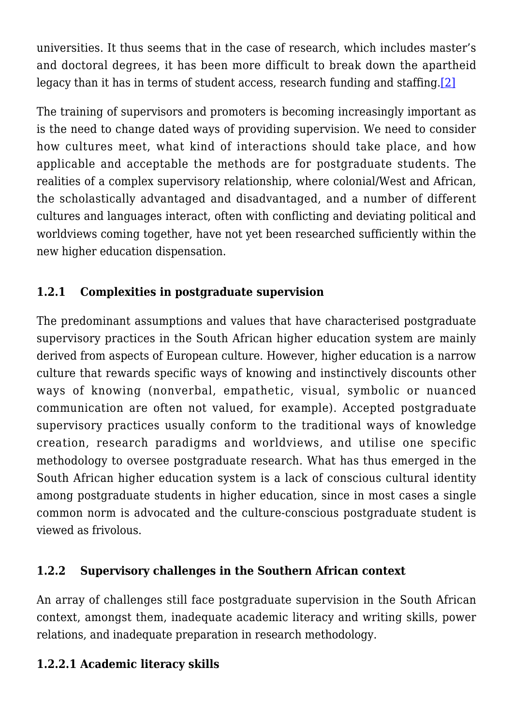universities. It thus seems that in the case of research, which includes master's and doctoral degrees, it has been more difficult to break down the apartheid legacy than it has in terms of student access, research funding and staffing[.\[2\]](#page--1-0)

The training of supervisors and promoters is becoming increasingly important as is the need to change dated ways of providing supervision. We need to consider how cultures meet, what kind of interactions should take place, and how applicable and acceptable the methods are for postgraduate students. The realities of a complex supervisory relationship, where colonial/West and African, the scholastically advantaged and disadvantaged, and a number of different cultures and languages interact, often with conflicting and deviating political and worldviews coming together, have not yet been researched sufficiently within the new higher education dispensation.

## **1.2.1 Complexities in postgraduate supervision**

The predominant assumptions and values that have characterised postgraduate supervisory practices in the South African higher education system are mainly derived from aspects of European culture. However, higher education is a narrow culture that rewards specific ways of knowing and instinctively discounts other ways of knowing (nonverbal, empathetic, visual, symbolic or nuanced communication are often not valued, for example). Accepted postgraduate supervisory practices usually conform to the traditional ways of knowledge creation, research paradigms and worldviews, and utilise one specific methodology to oversee postgraduate research. What has thus emerged in the South African higher education system is a lack of conscious cultural identity among postgraduate students in higher education, since in most cases a single common norm is advocated and the culture-conscious postgraduate student is viewed as frivolous.

## **1.2.2 Supervisory challenges in the Southern African context**

An array of challenges still face postgraduate supervision in the South African context, amongst them, inadequate academic literacy and writing skills, power relations, and inadequate preparation in research methodology.

## **1.2.2.1 Academic literacy skills**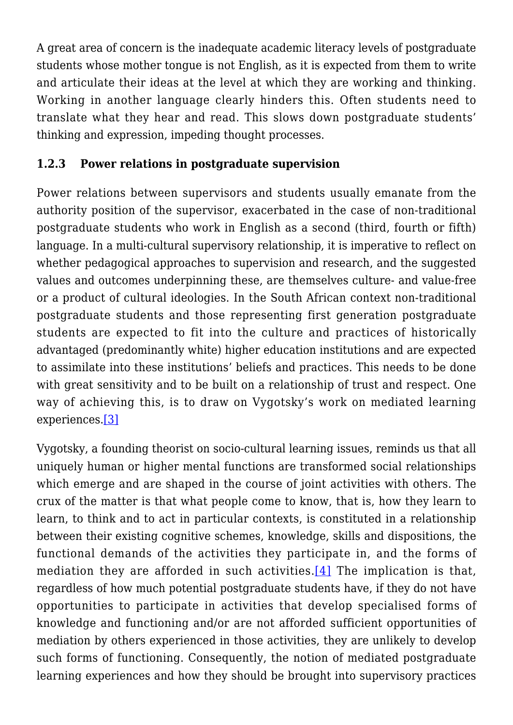A great area of concern is the inadequate academic literacy levels of postgraduate students whose mother tongue is not English, as it is expected from them to write and articulate their ideas at the level at which they are working and thinking. Working in another language clearly hinders this. Often students need to translate what they hear and read. This slows down postgraduate students' thinking and expression, impeding thought processes.

### **1.2.3 Power relations in postgraduate supervision**

Power relations between supervisors and students usually emanate from the authority position of the supervisor, exacerbated in the case of non-traditional postgraduate students who work in English as a second (third, fourth or fifth) language. In a multi-cultural supervisory relationship, it is imperative to reflect on whether pedagogical approaches to supervision and research, and the suggested values and outcomes underpinning these, are themselves culture- and value-free or a product of cultural ideologies. In the South African context non-traditional postgraduate students and those representing first generation postgraduate students are expected to fit into the culture and practices of historically advantaged (predominantly white) higher education institutions and are expected to assimilate into these institutions' beliefs and practices. This needs to be done with great sensitivity and to be built on a relationship of trust and respect. One way of achieving this, is to draw on Vygotsky's work on mediated learning experiences[.\[3\]](#page--1-0)

Vygotsky, a founding theorist on socio-cultural learning issues, reminds us that all uniquely human or higher mental functions are transformed social relationships which emerge and are shaped in the course of joint activities with others. The crux of the matter is that what people come to know, that is, how they learn to learn, to think and to act in particular contexts, is constituted in a relationship between their existing cognitive schemes, knowledge, skills and dispositions, the functional demands of the activities they participate in, and the forms of mediation they are afforded in such activities.  $[4]$  The implication is that, regardless of how much potential postgraduate students have, if they do not have opportunities to participate in activities that develop specialised forms of knowledge and functioning and/or are not afforded sufficient opportunities of mediation by others experienced in those activities, they are unlikely to develop such forms of functioning. Consequently, the notion of mediated postgraduate learning experiences and how they should be brought into supervisory practices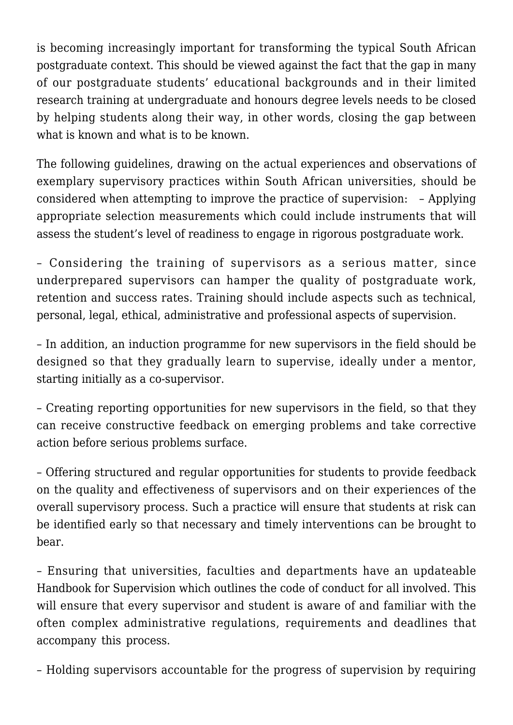is becoming increasingly important for transforming the typical South African postgraduate context. This should be viewed against the fact that the gap in many of our postgraduate students' educational backgrounds and in their limited research training at undergraduate and honours degree levels needs to be closed by helping students along their way, in other words, closing the gap between what is known and what is to be known.

The following guidelines, drawing on the actual experiences and observations of exemplary supervisory practices within South African universities, should be considered when attempting to improve the practice of supervision: – Applying appropriate selection measurements which could include instruments that will assess the student's level of readiness to engage in rigorous postgraduate work.

– Considering the training of supervisors as a serious matter, since underprepared supervisors can hamper the quality of postgraduate work, retention and success rates. Training should include aspects such as technical, personal, legal, ethical, administrative and professional aspects of supervision.

– In addition, an induction programme for new supervisors in the field should be designed so that they gradually learn to supervise, ideally under a mentor, starting initially as a co-supervisor.

– Creating reporting opportunities for new supervisors in the field, so that they can receive constructive feedback on emerging problems and take corrective action before serious problems surface.

– Offering structured and regular opportunities for students to provide feedback on the quality and effectiveness of supervisors and on their experiences of the overall supervisory process. Such a practice will ensure that students at risk can be identified early so that necessary and timely interventions can be brought to bear.

– Ensuring that universities, faculties and departments have an updateable Handbook for Supervision which outlines the code of conduct for all involved. This will ensure that every supervisor and student is aware of and familiar with the often complex administrative regulations, requirements and deadlines that accompany this process.

– Holding supervisors accountable for the progress of supervision by requiring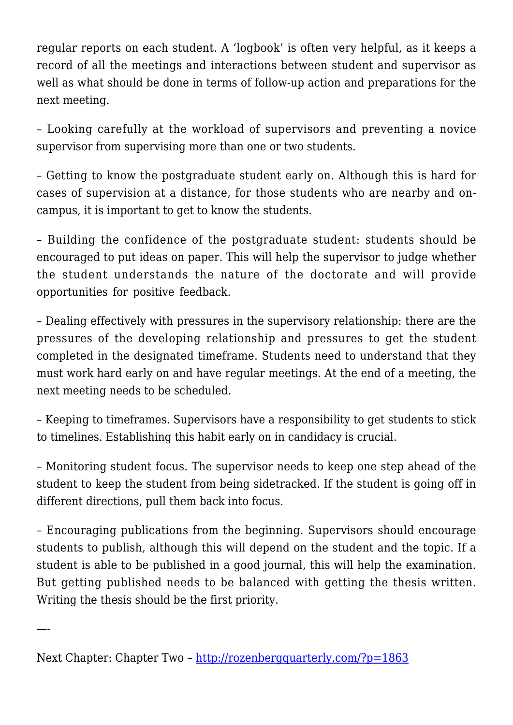regular reports on each student. A 'logbook' is often very helpful, as it keeps a record of all the meetings and interactions between student and supervisor as well as what should be done in terms of follow-up action and preparations for the next meeting.

– Looking carefully at the workload of supervisors and preventing a novice supervisor from supervising more than one or two students.

– Getting to know the postgraduate student early on. Although this is hard for cases of supervision at a distance, for those students who are nearby and oncampus, it is important to get to know the students.

– Building the confidence of the postgraduate student: students should be encouraged to put ideas on paper. This will help the supervisor to judge whether the student understands the nature of the doctorate and will provide opportunities for positive feedback.

– Dealing effectively with pressures in the supervisory relationship: there are the pressures of the developing relationship and pressures to get the student completed in the designated timeframe. Students need to understand that they must work hard early on and have regular meetings. At the end of a meeting, the next meeting needs to be scheduled.

– Keeping to timeframes*.* Supervisors have a responsibility to get students to stick to timelines. Establishing this habit early on in candidacy is crucial.

– Monitoring student focus. The supervisor needs to keep one step ahead of the student to keep the student from being sidetracked. If the student is going off in different directions, pull them back into focus.

– Encouraging publications from the beginning. Supervisors should encourage students to publish, although this will depend on the student and the topic. If a student is able to be published in a good journal, this will help the examination. But getting published needs to be balanced with getting the thesis written. Writing the thesis should be the first priority.

Next Chapter: Chapter Two –<http://rozenbergquarterly.com/?p=1863>

—-